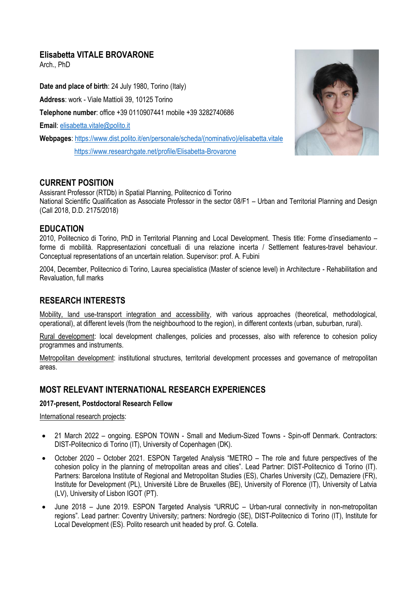# **Elisabetta VITALE BROVARONE**

Arch., PhD

**Date and place of birth**: 24 July 1980, Torino (Italy) **Address**: work - Viale Mattioli 39, 10125 Torino **Telephone number**: office +39 0110907441 mobile +39 3282740686 **Email**: [elisabetta.vitale@polito.it](mailto:elisabetta.vitale@polito.it) **Webpages**: [https://www.dist.polito.it/en/personale/scheda/\(nominativo\)/elisabetta.vitale](https://www.dist.polito.it/en/personale/scheda/(nominativo)/elisabetta.vitale) <https://www.researchgate.net/profile/Elisabetta-Brovarone>



# **CURRENT POSITION**

Assisrant Professor (RTDb) in Spatial Planning, Politecnico di Torino National Scientific Qualification as Associate Professor in the sector 08/F1 – Urban and Territorial Planning and Design (Call 2018, D.D. 2175/2018)

### **EDUCATION**

2010, Politecnico di Torino, PhD in Territorial Planning and Local Development. Thesis title: Forme d'insediamento – forme di mobilità. Rappresentazioni concettuali di una relazione incerta / Settlement features-travel behaviour. Conceptual representations of an uncertain relation. Supervisor: prof. A. Fubini

2004, December, Politecnico di Torino, Laurea specialistica (Master of science level) in Architecture - Rehabilitation and Revaluation, full marks

# **RESEARCH INTERESTS**

Mobility, land use-transport integration and accessibility, with various approaches (theoretical, methodological, operational), at different levels (from the neighbourhood to the region), in different contexts (urban, suburban, rural).

Rural development: local development challenges, policies and processes, also with reference to cohesion policy programmes and instruments.

Metropolitan development: institutional structures, territorial development processes and governance of metropolitan areas.

# **MOST RELEVANT INTERNATIONAL RESEARCH EXPERIENCES**

#### **2017-present, Postdoctoral Research Fellow**

#### International research projects:

- 21 March 2022 ongoing. ESPON TOWN Small and Medium-Sized Towns Spin-off Denmark. Contractors: DIST-Politecnico di Torino (IT), University of Copenhagen (DK).
- October 2020 October 2021. ESPON Targeted Analysis "METRO The role and future perspectives of the cohesion policy in the planning of metropolitan areas and cities". Lead Partner: DIST-Politecnico di Torino (IT). Partners: Barcelona Institute of Regional and Metropolitan Studies (ES), Charles University (CZ), Demaziere (FR), Institute for Development (PL), Université Libre de Bruxelles (BE), University of Florence (IT), University of Latvia (LV), University of Lisbon IGOT (PT).
- June 2018 June 2019. ESPON Targeted Analysis "URRUC Urban-rural connectivity in non-metropolitan regions". Lead partner: Coventry University; partners: Nordregio (SE), DIST-Politecnico di Torino (IT), Institute for Local Development (ES). Polito research unit headed by prof. G. Cotella.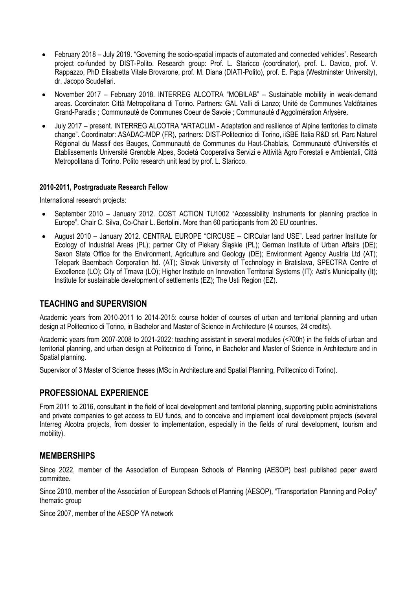- February 2018 July 2019. "Governing the socio-spatial impacts of automated and connected vehicles". Research project co-funded by DIST-Polito. Research group: Prof. L. Staricco (coordinator), prof. L. Davico, prof. V. Rappazzo, PhD Elisabetta Vitale Brovarone, prof. M. Diana (DIATI-Polito), prof. E. Papa (Westminster University), dr. Jacopo Scudellari.
- November 2017 February 2018. INTERREG ALCOTRA "MOBILAB" Sustainable mobility in weak-demand areas. Coordinator: Città Metropolitana di Torino. Partners: GAL Valli di Lanzo; Unité de Communes Valdôtaines Grand-Paradis ; Communauté de Communes Coeur de Savoie ; Communauté d'Aggolmération Arlysère.
- July 2017 present. INTERREG ALCOTRA "ARTACLIM Adaptation and resilience of Alpine territories to climate change". Coordinator: ASADAC-MDP (FR), partners: DIST-Politecnico di Torino, iiSBE Italia R&D srl, Parc Naturel Régional du Massif des Bauges, Communauté de Communes du Haut-Chablais, Communauté d'Universités et Etablissements Université Grenoble Alpes, Società Cooperativa Servizi e Attività Agro Forestali e Ambientali, Città Metropolitana di Torino. Polito research unit lead by prof. L. Staricco.

#### **2010-2011, Postrgraduate Research Fellow**

International research projects:

- September 2010 January 2012. COST ACTION TU1002 "Accessibility Instruments for planning practice in Europe". Chair C. Silva, Co-Chair L. Bertolini. More than 60 participants from 20 EU countries.
- August 2010 January 2012. CENTRAL EUROPE "CIRCUSE CIRCular land USE". Lead partner Institute for Ecology of Industrial Areas (PL); partner City of Piekary Śląskie (PL); German Institute of Urban Affairs (DE); Saxon State Office for the Environment, Agriculture and Geology (DE); Environment Agency Austria Ltd (AT); Telepark Baernbach Corporation ltd. (AT); Slovak University of Technology in Bratislava, SPECTRA Centre of Excellence (LO); City of Trnava (LO); Higher Institute on Innovation Territorial Systems (IT); Asti's Municipality (It); Institute for sustainable development of settlements (EZ); The Usti Region (EZ).

# **TEACHING and SUPERVISION**

Academic years from 2010-2011 to 2014-2015: course holder of courses of urban and territorial planning and urban design at Politecnico di Torino, in Bachelor and Master of Science in Architecture (4 courses, 24 credits).

Academic years from 2007-2008 to 2021-2022: teaching assistant in several modules (<700h) in the fields of urban and territorial planning, and urban design at Politecnico di Torino, in Bachelor and Master of Science in Architecture and in Spatial planning.

Supervisor of 3 Master of Science theses (MSc in Architecture and Spatial Planning, Politecnico di Torino).

### **PROFESSIONAL EXPERIENCE**

From 2011 to 2016, consultant in the field of local development and territorial planning, supporting public administrations and private companies to get access to EU funds, and to conceive and implement local development projects (several Interreg Alcotra projects, from dossier to implementation, especially in the fields of rural development, tourism and mobility).

### **MEMBERSHIPS**

Since 2022, member of the Association of European Schools of Planning (AESOP) best published paper award committee.

Since 2010, member of the Association of European Schools of Planning (AESOP), "Transportation Planning and Policy" thematic group

Since 2007, member of the AESOP YA network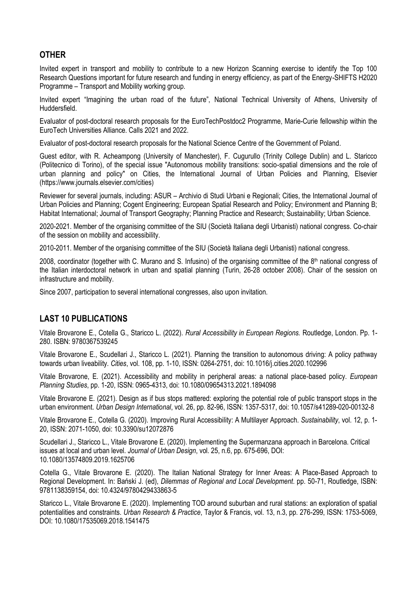## **OTHER**

Invited expert in transport and mobility to contribute to a new Horizon Scanning exercise to identify the Top 100 Research Questions important for future research and funding in energy efficiency, as part of the Energy-SHIFTS H2020 Programme – Transport and Mobility working group.

Invited expert "Imagining the urban road of the future", National Technical University of Athens, University of Huddersfield.

Evaluator of post-doctoral research proposals for the EuroTechPostdoc2 Programme, Marie-Curie fellowship within the EuroTech Universities Alliance. Calls 2021 and 2022.

Evaluator of post-doctoral research proposals for the National Science Centre of the Government of Poland.

Guest editor, with R. Acheampong (University of Manchester), F. Cugurullo (Trinity College Dublin) and L. Staricco (Politecnico di Torino), of the special issue "Autonomous mobility transitions: socio-spatial dimensions and the role of urban planning and policy" on Cities, the International Journal of Urban Policies and Planning, Elsevier (https://www.journals.elsevier.com/cities)

Reviewer for several journals, including: ASUR – Archivio di Studi Urbani e Regionali; Cities, the International Journal of Urban Policies and Planning; Cogent Engineering; European Spatial Research and Policy; Environment and Planning B; Habitat International; Journal of Transport Geography; Planning Practice and Research; Sustainability; Urban Science.

2020-2021. Member of the organising committee of the SIU (Società Italiana degli Urbanisti) national congress. Co-chair of the session on mobility and accessibility.

2010-2011. Member of the organising committee of the SIU (Società Italiana degli Urbanisti) national congress.

2008, coordinator (together with C. Murano and S. Infusino) of the organising committee of the  $8<sup>th</sup>$  national congress of the Italian interdoctoral network in urban and spatial planning (Turin, 26-28 october 2008). Chair of the session on infrastructure and mobility.

Since 2007, participation to several international congresses, also upon invitation.

### **LAST 10 PUBLICATIONS**

Vitale Brovarone E., Cotella G., Staricco L. (2022). *Rural Accessibility in European Regions.* Routledge, London. Pp. 1- 280. ISBN: 9780367539245

Vitale Brovarone E., Scudellari J., Staricco L. (2021). Planning the transition to autonomous driving: A policy pathway towards urban liveability*. Cities*, vol. 108, pp. 1-10, ISSN: 0264-2751, doi: 10.1016/j.cities.2020.102996

Vitale Brovarone, E. (2021). Accessibility and mobility in peripheral areas: a national place-based policy. *European Planning Studies*, pp. 1-20, ISSN: 0965-4313, doi: 10.1080/09654313.2021.1894098

Vitale Brovarone E. (2021). Design as if bus stops mattered: exploring the potential role of public transport stops in the urban environment. *Urban Design International*, vol. 26, pp. 82-96, ISSN: 1357-5317, doi: 10.1057/s41289-020-00132-8

Vitale Brovarone E., Cotella G. (2020). Improving Rural Accessibility: A Multilayer Approach. *Sustainability*, vol. 12, p. 1- 20, ISSN: 2071-1050, doi: 10.3390/su12072876

Scudellari J., Staricco L., Vitale Brovarone E. (2020). Implementing the Supermanzana approach in Barcelona. Critical issues at local and urban level. *Journal of Urban Design*, vol. 25, n.6, pp. 675-696, DOI: 10.1080/13574809.2019.1625706

Cotella G., Vitale Brovarone E. (2020). The Italian National Strategy for Inner Areas: A Place-Based Approach to Regional Development. In: Bański J. (ed), *Dilemmas of Regional and Local Development*. pp. 50-71, Routledge, ISBN: 9781138359154, doi: 10.4324/9780429433863-5

Staricco L., Vitale Brovarone E. (2020). Implementing TOD around suburban and rural stations: an exploration of spatial potentialities and constraints. *Urban Research & Practice*, Taylor & Francis, vol. 13, n.3, pp. 276-299, ISSN: 1753-5069, DOI: 10.1080/17535069.2018.1541475